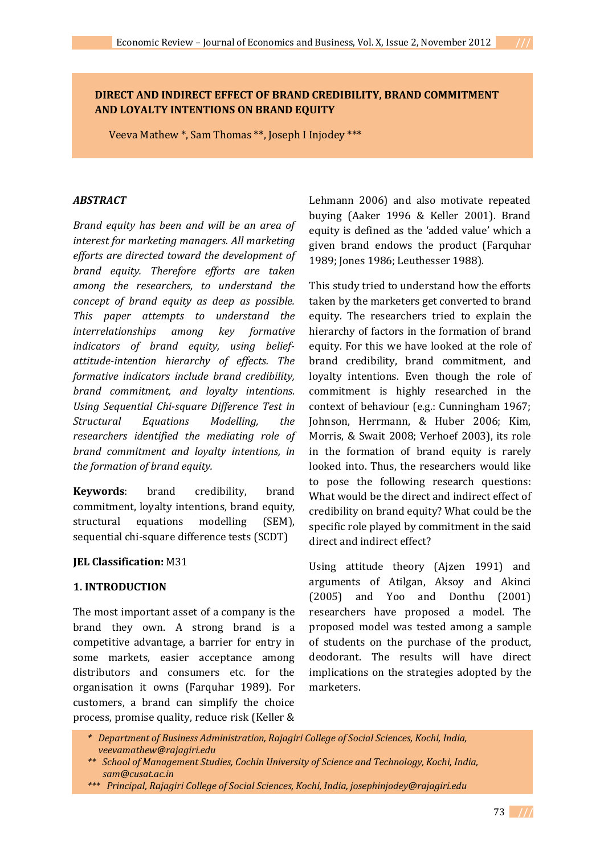# **DIRECT AND INDIRECT EFFECT OF BRAND CREDIBILITY, BRAND COMMITMENT AND LOYALTY INTENTIONS ON BRAND EQUITY**

Veeva Mathew \*, Sam Thomas \*\*, Joseph I Injodey \*\*\*

#### *ABSTRACT*

*Brand equity has been and will be an area of interest for marketing managers. All marketing efforts are directed toward the development of brand equity. Therefore efforts are taken among the researchers, to understand the concept of brand equity as deep as possible. This paper attempts to understand the interrelationships among key formative indicators of brand equity, using beliefattitude-intention hierarchy of effects. The formative indicators include brand credibility, brand commitment, and loyalty intentions. Using Sequential Chi-square Difference Test in Structural Equations Modelling, the researchers identified the mediating role of brand commitment and loyalty intentions, in the formation of brand equity.* 

**Keywords**: brand credibility, brand commitment, loyalty intentions, brand equity, structural equations modelling (SEM), sequential chi-square difference tests (SCDT)

#### **JEL Classification:** M31

### **1. INTRODUCTION**

The most important asset of a company is the brand they own. A strong brand is a competitive advantage, a barrier for entry in some markets, easier acceptance among distributors and consumers etc. for the organisation it owns (Farquhar 1989). For customers, a brand can simplify the choice process, promise quality, reduce risk (Keller &

Lehmann 2006) and also motivate repeated buying (Aaker 1996 & Keller 2001). Brand equity is defined as the 'added value' which a given brand endows the product (Farquhar 1989; Jones 1986; Leuthesser 1988).

This study tried to understand how the efforts taken by the marketers get converted to brand equity. The researchers tried to explain the hierarchy of factors in the formation of brand equity. For this we have looked at the role of brand credibility, brand commitment, and loyalty intentions. Even though the role of commitment is highly researched in the context of behaviour (e.g.: Cunningham 1967; Johnson, Herrmann, & Huber 2006; Kim, Morris, & Swait 2008; Verhoef 2003), its role in the formation of brand equity is rarely looked into. Thus, the researchers would like to pose the following research questions: What would be the direct and indirect effect of credibility on brand equity? What could be the specific role played by commitment in the said direct and indirect effect?

Using attitude theory (Ajzen 1991) and arguments of Atilgan, Aksoy and Akinci (2005) and Yoo and Donthu (2001) researchers have proposed a model. The proposed model was tested among a sample of students on the purchase of the product, deodorant. The results will have direct implications on the strategies adopted by the marketers.

*\* Department of Business Administration, Rajagiri College of Social Sciences, Kochi, India, veevamathew@rajagiri.edu*

*\*\*\* Principal, Rajagiri College of Social Sciences, Kochi, India, josephinjodey@rajagiri.edu*

*<sup>\*\*</sup> School of Management Studies, Cochin University of Science and Technology, Kochi, India, sam@cusat.ac.in*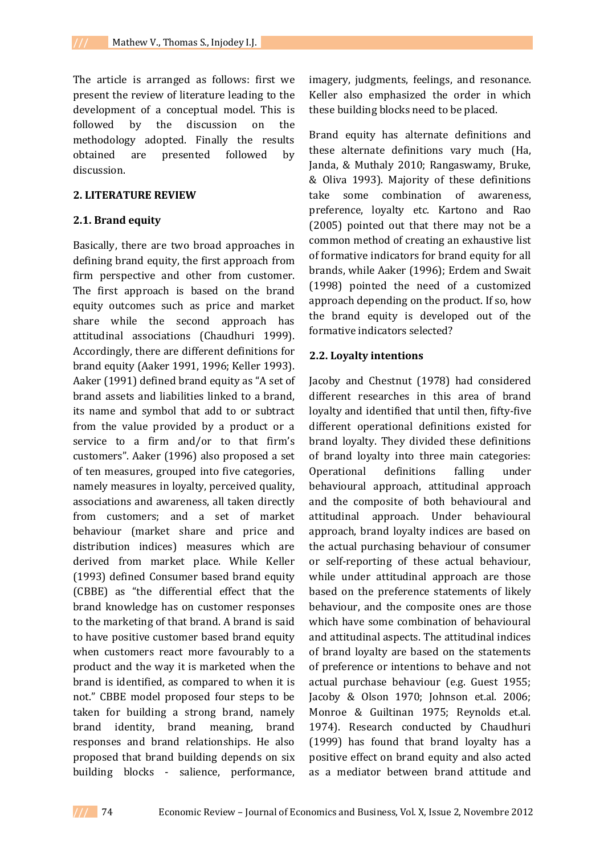The article is arranged as follows: first we present the review of literature leading to the development of a conceptual model. This is followed by the discussion on the methodology adopted. Finally the results obtained are presented followed by discussion.

### **2. LITERATURE REVIEW**

# **2.1. Brand equity**

Basically, there are two broad approaches in defining brand equity, the first approach from firm perspective and other from customer. The first approach is based on the brand equity outcomes such as price and market share while the second approach has attitudinal associations (Chaudhuri 1999). Accordingly, there are different definitions for brand equity (Aaker 1991, 1996; Keller 1993). Aaker (1991) defined brand equity as "A set of brand assets and liabilities linked to a brand, its name and symbol that add to or subtract from the value provided by a product or a service to a firm and/or to that firm's customers". Aaker (1996) also proposed a set of ten measures, grouped into five categories, namely measures in loyalty, perceived quality, associations and awareness, all taken directly from customers; and a set of market behaviour (market share and price and distribution indices) measures which are derived from market place. While Keller (1993) defined Consumer based brand equity (CBBE) as "the differential effect that the brand knowledge has on customer responses to the marketing of that brand. A brand is said to have positive customer based brand equity when customers react more favourably to a product and the way it is marketed when the brand is identified, as compared to when it is not." CBBE model proposed four steps to be taken for building a strong brand, namely brand identity, brand meaning, brand responses and brand relationships. He also proposed that brand building depends on six building blocks - salience, performance,

imagery, judgments, feelings, and resonance. Keller also emphasized the order in which these building blocks need to be placed.

Brand equity has alternate definitions and these alternate definitions vary much (Ha, Janda, & Muthaly 2010; Rangaswamy, Bruke, & Oliva 1993). Majority of these definitions take some combination of awareness, preference, loyalty etc. Kartono and Rao (2005) pointed out that there may not be a common method of creating an exhaustive list of formative indicators for brand equity for all brands, while Aaker (1996); Erdem and Swait (1998) pointed the need of a customized approach depending on the product. If so, how the brand equity is developed out of the formative indicators selected?

### **2.2. Loyalty intentions**

Jacoby and Chestnut (1978) had considered different researches in this area of brand loyalty and identified that until then, fifty-five different operational definitions existed for brand loyalty. They divided these definitions of brand loyalty into three main categories: Operational definitions falling under behavioural approach, attitudinal approach and the composite of both behavioural and attitudinal approach. Under behavioural approach, brand loyalty indices are based on the actual purchasing behaviour of consumer or self-reporting of these actual behaviour, while under attitudinal approach are those based on the preference statements of likely behaviour, and the composite ones are those which have some combination of behavioural and attitudinal aspects. The attitudinal indices of brand loyalty are based on the statements of preference or intentions to behave and not actual purchase behaviour (e.g. Guest 1955; Jacoby & Olson 1970; Johnson et.al. 2006; Monroe & Guiltinan 1975; Reynolds et.al. 1974). Research conducted by Chaudhuri (1999) has found that brand loyalty has a positive effect on brand equity and also acted as a mediator between brand attitude and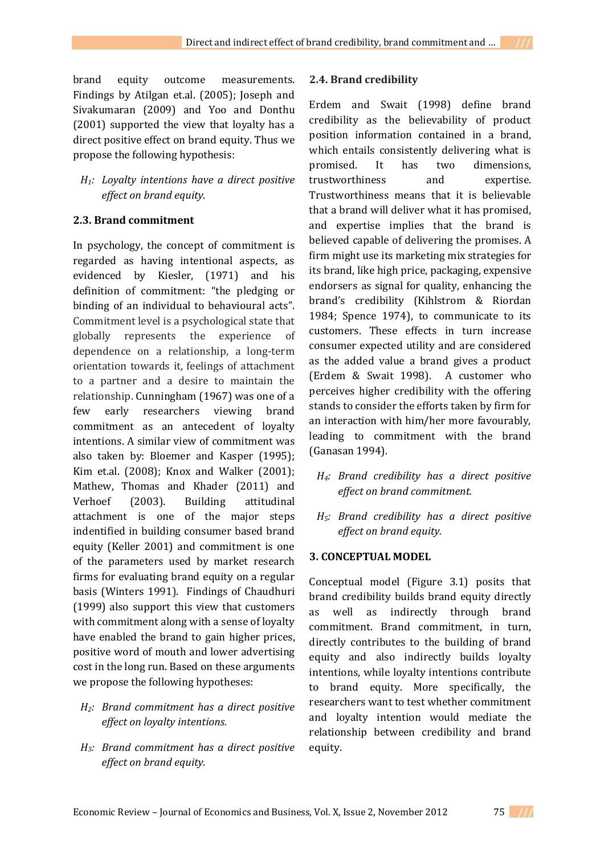brand equity outcome measurements. Findings by Atilgan et.al. (2005); Joseph and Sivakumaran (2009) and Yoo and Donthu (2001) supported the view that loyalty has a direct positive effect on brand equity. Thus we propose the following hypothesis:

*H1: Loyalty intentions have a direct positive effect on brand equity.*

# **2.3. Brand commitment**

In psychology, the concept of commitment is regarded as having intentional aspects, as evidenced by Kiesler, (1971) and his definition of commitment: "the pledging or binding of an individual to behavioural acts". Commitment level is a psychological state that globally represents the experience of dependence on a relationship, a long-term orientation towards it, feelings of attachment to a partner and a desire to maintain the relationship. Cunningham (1967) was one of a few early researchers viewing brand commitment as an antecedent of loyalty intentions. A similar view of commitment was also taken by: Bloemer and Kasper (1995); Kim et.al. (2008); Knox and Walker (2001); Mathew, Thomas and Khader (2011) and Verhoef (2003). Building attitudinal attachment is one of the major steps indentified in building consumer based brand equity (Keller 2001) and commitment is one of the parameters used by market research firms for evaluating brand equity on a regular basis (Winters 1991). Findings of Chaudhuri (1999) also support this view that customers with commitment along with a sense of loyalty have enabled the brand to gain higher prices, positive word of mouth and lower advertising cost in the long run. Based on these arguments we propose the following hypotheses:

- *H2: Brand commitment has a direct positive effect on loyalty intentions.*
- *H3: Brand commitment has a direct positive effect on brand equity.*

### **2.4. Brand credibility**

Erdem and Swait (1998) define brand credibility as the believability of product position information contained in a brand, which entails consistently delivering what is promised. It has two dimensions, trustworthiness and expertise. Trustworthiness means that it is believable that a brand will deliver what it has promised, and expertise implies that the brand is believed capable of delivering the promises. A firm might use its marketing mix strategies for its brand, like high price, packaging, expensive endorsers as signal for quality, enhancing the brand's credibility (Kihlstrom & Riordan 1984; Spence 1974), to communicate to its customers. These effects in turn increase consumer expected utility and are considered as the added value a brand gives a product (Erdem & Swait 1998). A customer who perceives higher credibility with the offering stands to consider the efforts taken by firm for an interaction with him/her more favourably, leading to commitment with the brand (Ganasan 1994).

- *H4: Brand credibility has a direct positive effect on brand commitment.*
- *H5: Brand credibility has a direct positive effect on brand equity.*

### **3. CONCEPTUAL MODEL**

Conceptual model (Figure 3.1) posits that brand credibility builds brand equity directly as well as indirectly through brand commitment. Brand commitment, in turn, directly contributes to the building of brand equity and also indirectly builds loyalty intentions, while loyalty intentions contribute to brand equity. More specifically, the researchers want to test whether commitment and loyalty intention would mediate the relationship between credibility and brand equity.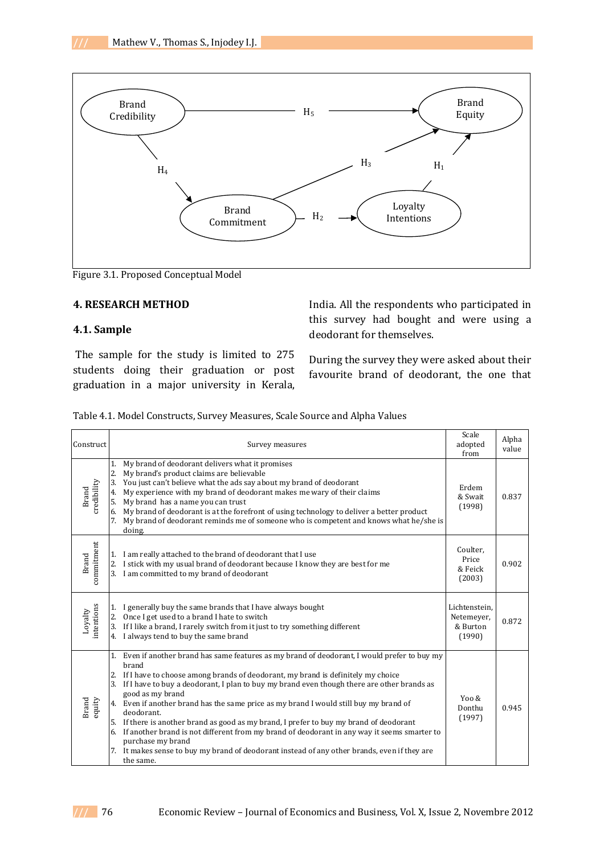

Figure 3.1. Proposed Conceptual Model

### **4. RESEARCH METHOD**

### **4.1. Sample**

The sample for the study is limited to 275 students doing their graduation or post graduation in a major university in Kerala,

India. All the respondents who participated in this survey had bought and were using a deodorant for themselves.

During the survey they were asked about their favourite brand of deodorant, the one that

| Construct             | Survey measures                                                                                                                                                                                                                                                                                                                                                                                                                                                                                                                                                                                                                                                                                                                                         | Scale<br>adopted<br>from                          | Alpha<br>value |
|-----------------------|---------------------------------------------------------------------------------------------------------------------------------------------------------------------------------------------------------------------------------------------------------------------------------------------------------------------------------------------------------------------------------------------------------------------------------------------------------------------------------------------------------------------------------------------------------------------------------------------------------------------------------------------------------------------------------------------------------------------------------------------------------|---------------------------------------------------|----------------|
| credibility<br>Brand  | My brand of deodorant delivers what it promises<br>1.<br>2.<br>My brand's product claims are believable<br>3.<br>You just can't believe what the ads say about my brand of deodorant<br>My experience with my brand of deodorant makes me wary of their claims<br>4.<br>My brand has a name you can trust<br>5.<br>6. My brand of deodorant is at the forefront of using technology to deliver a better product<br>7.<br>My brand of deodorant reminds me of someone who is competent and knows what he/she is<br>doing.                                                                                                                                                                                                                                | Erdem<br>& Swait<br>(1998)                        | 0.837          |
| commitment<br>Brand   | I am really attached to the brand of deodorant that I use<br>1.<br>I stick with my usual brand of deodorant because I know they are best for me<br>2.<br>3. I am committed to my brand of deodorant                                                                                                                                                                                                                                                                                                                                                                                                                                                                                                                                                     | Coulter,<br>Price<br>& Feick<br>(2003)            | 0.902          |
| Loyalty<br>intentions | I generally buy the same brands that I have always bought<br>1.<br>2. Once I get used to a brand I hate to switch<br>3. If I like a brand, I rarely switch from it just to try something different<br>I always tend to buy the same brand<br>4.                                                                                                                                                                                                                                                                                                                                                                                                                                                                                                         | Lichtenstein.<br>Netemeyer,<br>& Burton<br>(1990) | 0.872          |
| Brand<br>equity       | 1. Even if another brand has same features as my brand of deodorant, I would prefer to buy my<br>brand<br>2. If I have to choose among brands of deodorant, my brand is definitely my choice<br>3. If I have to buy a deodorant, I plan to buy my brand even though there are other brands as<br>good as my brand<br>4. Even if another brand has the same price as my brand I would still buy my brand of<br>deodorant.<br>5. If there is another brand as good as my brand, I prefer to buy my brand of deodorant<br>6. If another brand is not different from my brand of deodorant in any way it seems smarter to<br>purchase my brand<br>7. It makes sense to buy my brand of deodorant instead of any other brands, even if they are<br>the same. | Yoo $\&$<br>Donthu<br>(1997)                      | 0.945          |

Table 4.1. Model Constructs, Survey Measures, Scale Source and Alpha Values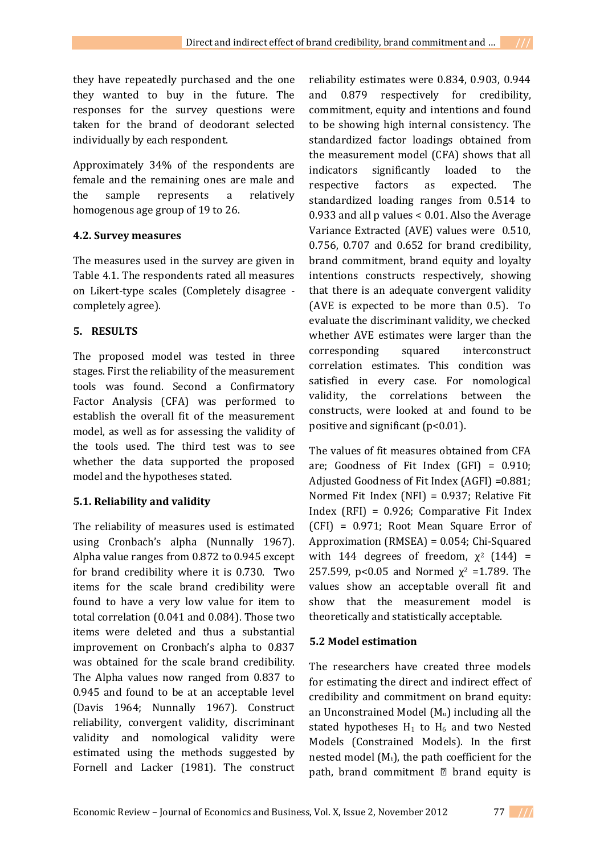they have repeatedly purchased and the one they wanted to buy in the future. The responses for the survey questions were taken for the brand of deodorant selected individually by each respondent.

Approximately 34% of the respondents are female and the remaining ones are male and the sample represents a relatively homogenous age group of 19 to 26.

# **4.2. Survey measures**

The measures used in the survey are given in Table 4.1. The respondents rated all measures on Likert-type scales (Completely disagree completely agree).

# **5. RESULTS**

The proposed model was tested in three stages. First the reliability of the measurement tools was found. Second a Confirmatory Factor Analysis (CFA) was performed to establish the overall fit of the measurement model, as well as for assessing the validity of the tools used. The third test was to see whether the data supported the proposed model and the hypotheses stated.

# **5.1. Reliability and validity**

The reliability of measures used is estimated using Cronbach's alpha (Nunnally 1967). Alpha value ranges from 0.872 to 0.945 except for brand credibility where it is 0.730. Two items for the scale brand credibility were found to have a very low value for item to total correlation (0.041 and 0.084). Those two items were deleted and thus a substantial improvement on Cronbach's alpha to 0.837 was obtained for the scale brand credibility. The Alpha values now ranged from 0.837 to 0.945 and found to be at an acceptable level (Davis 1964; Nunnally 1967). Construct reliability, convergent validity, discriminant validity and nomological validity were estimated using the methods suggested by Fornell and Lacker (1981). The construct

reliability estimates were 0.834, 0.903, 0.944 and 0.879 respectively for credibility, commitment, equity and intentions and found to be showing high internal consistency. The standardized factor loadings obtained from the measurement model (CFA) shows that all indicators significantly loaded to the respective factors as expected. The standardized loading ranges from 0.514 to 0.933 and all p values < 0.01. Also the Average Variance Extracted (AVE) values were 0.510, 0.756, 0.707 and 0.652 for brand credibility, brand commitment, brand equity and loyalty intentions constructs respectively, showing that there is an adequate convergent validity (AVE is expected to be more than 0.5). To evaluate the discriminant validity, we checked whether AVE estimates were larger than the corresponding squared interconstruct correlation estimates. This condition was satisfied in every case. For nomological validity, the correlations between the constructs, were looked at and found to be positive and significant  $(p<0.01)$ .

The values of fit measures obtained from CFA are; Goodness of Fit Index  $(GFI) = 0.910$ ; Adjusted Goodness of Fit Index (AGFI) =0.881; Normed Fit Index (NFI) = 0.937; Relative Fit Index (RFI) = 0.926; Comparative Fit Index (CFI) = 0.971; Root Mean Square Error of Approximation (RMSEA) = 0.054; Chi-Squared with 144 degrees of freedom,  $\chi^2$  (144) = 257.599, p<0.05 and Normed  $\chi^2$  =1.789. The values show an acceptable overall fit and show that the measurement model is theoretically and statistically acceptable.

# **5.2 Model estimation**

The researchers have created three models for estimating the direct and indirect effect of credibility and commitment on brand equity: an Unconstrained Model  $(M_u)$  including all the stated hypotheses  $H_1$  to  $H_6$  and two Nested Models (Constrained Models). In the first nested model  $(M_t)$ , the path coefficient for the path, brand commitment  $\mathbb D$  brand equity is

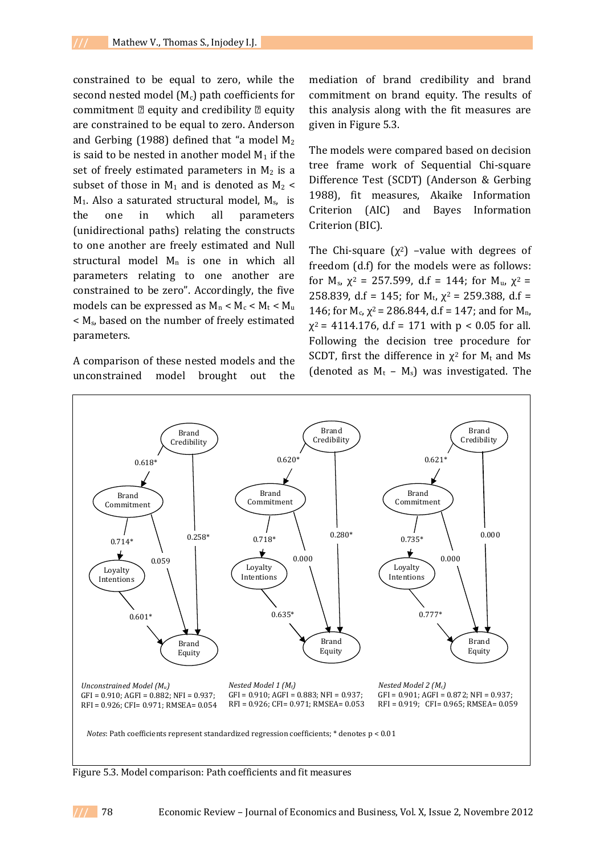constrained to be equal to zero, while the second nested model  $(M<sub>c</sub>)$  path coefficients for commitment  $\mathbb{Z}$  equity and credibility  $\mathbb{Z}$  equity are constrained to be equal to zero. Anderson and Gerbing (1988) defined that "a model  $M_2$ is said to be nested in another model  $M_1$  if the set of freely estimated parameters in  $M_2$  is a subset of those in  $M_1$  and is denoted as  $M_2$  <  $M_1$ . Also a saturated structural model,  $M_s$ , is the one in which all parameters (unidirectional paths) relating the constructs to one another are freely estimated and Null structural model  $M_n$  is one in which all parameters relating to one another are constrained to be zero". Accordingly, the five models can be expressed as  $M_n < M_c < M_t < M_u$ < Ms, based on the number of freely estimated parameters.

A comparison of these nested models and the unconstrained model brought out the mediation of brand credibility and brand commitment on brand equity. The results of this analysis along with the fit measures are given in Figure 5.3.

The models were compared based on decision tree frame work of Sequential Chi-square Difference Test (SCDT) (Anderson & Gerbing 1988), fit measures, Akaike Information Criterion (AIC) and Bayes Information Criterion (BIC).

The Chi-square  $(x^2)$  –value with degrees of freedom (d.f) for the models were as follows: for  $M_s$ ,  $\chi^2$  = 257.599, d.f = 144; for  $M_u$ ,  $\chi^2$  = 258.839, d.f = 145; for  $M_t$ ,  $\chi^2$  = 259.388, d.f = 146; for  $M_c$ ,  $\chi^2$  = 286.844, d.f = 147; and for  $M_n$ ,  $\chi^2$  = 4114.176, d.f = 171 with p < 0.05 for all. Following the decision tree procedure for SCDT, first the difference in  $\chi^2$  for  $M_t$  and Ms (denoted as  $M_t - M_s$ ) was investigated. The



Figure 5.3. Model comparison: Path coefficients and fit measures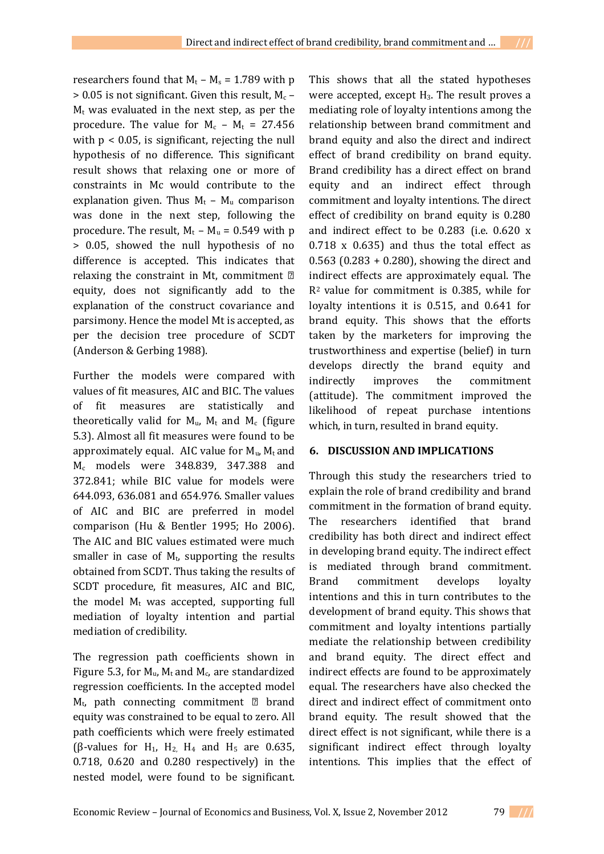researchers found that  $M_t - M_s = 1.789$  with p  $> 0.05$  is not significant. Given this result,  $M_c$  –  $M_t$  was evaluated in the next step, as per the procedure. The value for  $M_c - M_t = 27.456$ with  $p < 0.05$ , is significant, rejecting the null hypothesis of no difference. This significant result shows that relaxing one or more of constraints in Mc would contribute to the explanation given. Thus  $M_t - M_u$  comparison was done in the next step, following the procedure. The result,  $M_t - M_u = 0.549$  with p > 0.05, showed the null hypothesis of no difference is accepted. This indicates that relaxing the constraint in Mt, commitment equity, does not significantly add to the explanation of the construct covariance and parsimony. Hence the model Mt is accepted, as per the decision tree procedure of SCDT (Anderson & Gerbing 1988).

Further the models were compared with values of fit measures, AIC and BIC. The values of fit measures are statistically and theoretically valid for  $M_u$ ,  $M_t$  and  $M_c$  (figure 5.3). Almost all fit measures were found to be approximately equal. AIC value for  $M_u$ ,  $M_t$  and M<sup>c</sup> models were 348.839, 347.388 and 372.841; while BIC value for models were 644.093, 636.081 and 654.976. Smaller values of AIC and BIC are preferred in model comparison (Hu & Bentler 1995; Ho 2006). The AIC and BIC values estimated were much smaller in case of  $M_t$ , supporting the results obtained from SCDT. Thus taking the results of SCDT procedure, fit measures, AIC and BIC, the model  $M_t$  was accepted, supporting full mediation of loyalty intention and partial mediation of credibility.

The regression path coefficients shown in Figure 5.3, for  $M_u$ ,  $M_t$  and  $M_c$ , are standardized regression coefficients. In the accepted model  $M_t$ , path connecting commitment  $\mathbb D$  brand equity was constrained to be equal to zero. All path coefficients which were freely estimated (β-values for H<sub>1</sub>, H<sub>2</sub>, H<sub>4</sub> and H<sub>5</sub> are 0.635, 0.718, 0.620 and 0.280 respectively) in the nested model, were found to be significant. This shows that all the stated hypotheses were accepted, except  $H_3$ . The result proves a mediating role of loyalty intentions among the relationship between brand commitment and brand equity and also the direct and indirect effect of brand credibility on brand equity. Brand credibility has a direct effect on brand equity and an indirect effect through commitment and loyalty intentions. The direct effect of credibility on brand equity is 0.280 and indirect effect to be 0.283 (i.e. 0.620 x 0.718 x 0.635) and thus the total effect as 0.563 (0.283 + 0.280), showing the direct and indirect effects are approximately equal. The R2 value for commitment is 0.385, while for loyalty intentions it is 0.515, and 0.641 for brand equity. This shows that the efforts taken by the marketers for improving the trustworthiness and expertise (belief) in turn develops directly the brand equity and indirectly improves the commitment (attitude). The commitment improved the likelihood of repeat purchase intentions which, in turn, resulted in brand equity.

### **6. DISCUSSION AND IMPLICATIONS**

Through this study the researchers tried to explain the role of brand credibility and brand commitment in the formation of brand equity. The researchers identified that brand credibility has both direct and indirect effect in developing brand equity. The indirect effect is mediated through brand commitment. Brand commitment develops loyalty intentions and this in turn contributes to the development of brand equity. This shows that commitment and loyalty intentions partially mediate the relationship between credibility and brand equity. The direct effect and indirect effects are found to be approximately equal. The researchers have also checked the direct and indirect effect of commitment onto brand equity. The result showed that the direct effect is not significant, while there is a significant indirect effect through loyalty intentions. This implies that the effect of

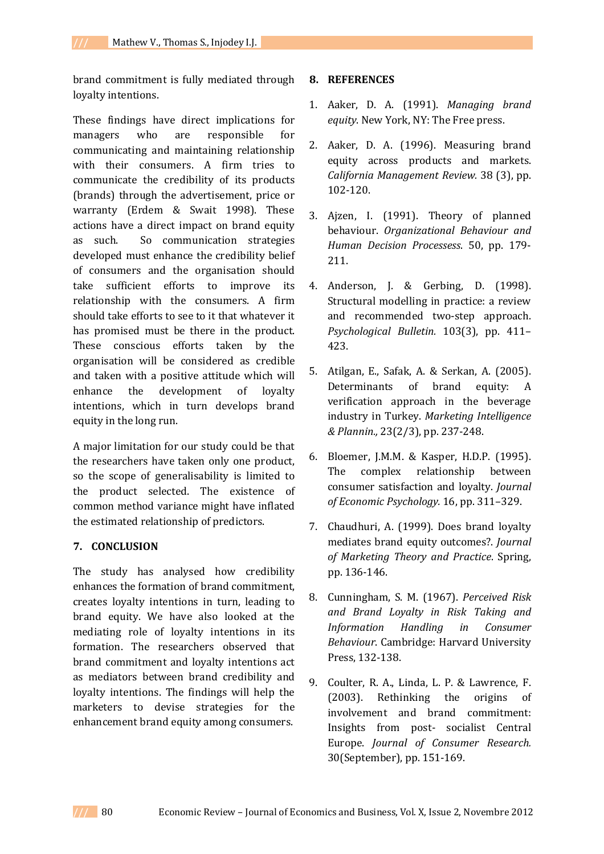brand commitment is fully mediated through loyalty intentions.

These findings have direct implications for managers who are responsible for communicating and maintaining relationship with their consumers. A firm tries to communicate the credibility of its products (brands) through the advertisement, price or warranty (Erdem & Swait 1998). These actions have a direct impact on brand equity as such. So communication strategies developed must enhance the credibility belief of consumers and the organisation should take sufficient efforts to improve its relationship with the consumers. A firm should take efforts to see to it that whatever it has promised must be there in the product. These conscious efforts taken by the organisation will be considered as credible and taken with a positive attitude which will enhance the development of loyalty intentions, which in turn develops brand equity in the long run.

A major limitation for our study could be that the researchers have taken only one product, so the scope of generalisability is limited to the product selected. The existence of common method variance might have inflated the estimated relationship of predictors.

### **7. CONCLUSION**

The study has analysed how credibility enhances the formation of brand commitment, creates loyalty intentions in turn, leading to brand equity. We have also looked at the mediating role of loyalty intentions in its formation. The researchers observed that brand commitment and loyalty intentions act as mediators between brand credibility and loyalty intentions. The findings will help the marketers to devise strategies for the enhancement brand equity among consumers.

### **8. REFERENCES**

- 1. Aaker, D. A. (1991). *Managing brand equity*. New York, NY: The Free press.
- 2. Aaker, D. A. (1996). Measuring brand equity across products and markets. *California Management Review.* 38 (3), pp. 102-120.
- 3. Ajzen, I. (1991). Theory of planned behaviour. *Organizational Behaviour and Human Decision Processess*. 50, pp. 179- 211.
- 4. Anderson, J. & Gerbing, D. (1998). Structural modelling in practice: a review and recommended two-step approach. *Psychological Bulletin.* 103(3), pp. 411– 423.
- 5. Atilgan, E., Safak, A. & Serkan, A. (2005). Determinants of brand equity: verification approach in the beverage industry in Turkey. *Marketing Intelligence & Plannin.,* 23(2/3), pp. 237-248.
- 6. Bloemer, J.M.M. & Kasper, H.D.P. (1995). The complex relationship between consumer satisfaction and loyalty. *Journal of Economic Psychology.* 16, pp. 311–329.
- 7. Chaudhuri, A. (1999). Does brand loyalty mediates brand equity outcomes?. *Journal of Marketing Theory and Practice*. Spring, pp. 136-146.
- 8. Cunningham, S. M. (1967). *Perceived Risk and Brand Loyalty in Risk Taking and Information Handling in Consumer Behaviour*. Cambridge: Harvard University Press, 132-138.
- 9. Coulter, R. A., Linda, L. P. & Lawrence, F. (2003). Rethinking the origins of involvement and brand commitment: Insights from post- socialist Central Europe. *Journal of Consumer Research.*  30(September), pp. 151-169.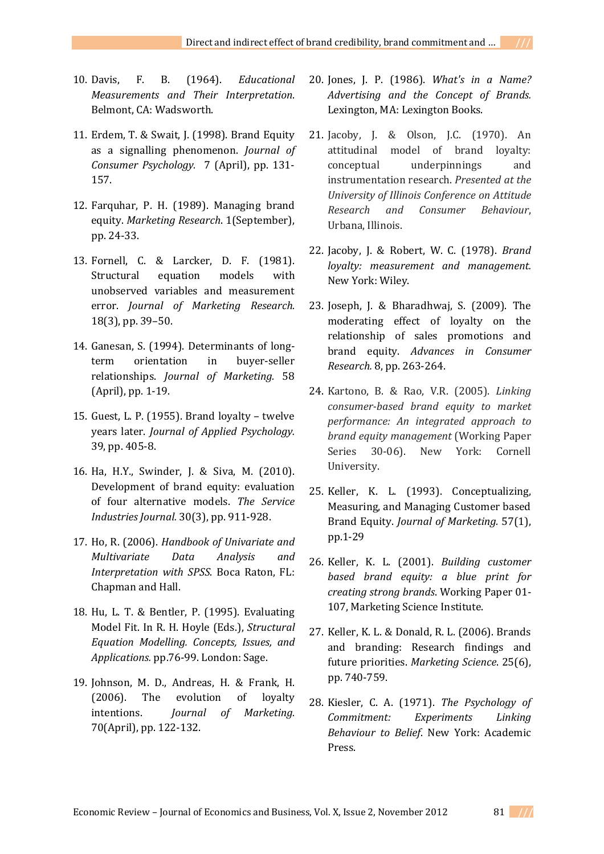- 10. Davis, F. B. (1964). *Educational Measurements and Their Interpretation*. Belmont, CA: Wadsworth.
- 11. Erdem, T. & Swait, J. (1998). Brand Equity as a signalling phenomenon. *Journal of Consumer Psychology.* 7 (April), pp. 131- 157.
- 12. Farquhar, P. H. (1989). Managing brand equity. *Marketing Research*. 1(September), pp. 24-33.
- 13. Fornell, C. & Larcker, D. F. (1981). Structural equation models with unobserved variables and measurement error. *Journal of Marketing Research.*  18(3), pp. 39–50.
- 14. Ganesan, S. (1994). Determinants of longterm orientation in buyer-seller relationships. *Journal of Marketing.* 58 (April), pp. 1-19.
- 15. Guest, L. P. (1955). Brand loyalty twelve years later. *Journal of Applied Psychology.*  39, pp. 405-8.
- 16. Ha, H.Y., Swinder, J. & Siva, M. (2010). Development of brand equity: evaluation of four alternative models. *The Service Industries Journal.* 30(3), pp. 911-928.
- 17. Ho, R. (2006). *Handbook of Univariate and Multivariate Data Analysis and Interpretation with SPSS*. Boca Raton, FL: Chapman and Hall.
- 18. Hu, L. T. & Bentler, P. (1995). Evaluating Model Fit. In R. H. Hoyle (Eds.), *Structural Equation Modelling. Concepts, Issues, and Applications.* pp.76-99. London: Sage.
- 19. Johnson, M. D., Andreas, H. & Frank, H. (2006). The evolution of loyalty intentions. *Journal of Marketing.* 70(April), pp. 122-132.
- 20. Jones, J. P. (1986). *What's in a Name? Advertising and the Concept of Brands.*  Lexington, MA: Lexington Books.
- 21. Jacoby, J. & Olson, J.C. (1970). An attitudinal model of brand loyalty: conceptual underpinnings and instrumentation research. *Presented at the University of Illinois Conference on Attitude Research and Consumer Behaviour*, Urbana, Illinois.
- 22. Jacoby, J. & Robert, W. C. (1978). *Brand loyalty: measurement and management.*  New York: Wiley.
- 23. Joseph, J. & Bharadhwaj, S. (2009). The moderating effect of loyalty on the relationship of sales promotions and brand equity. *Advances in Consumer Research.* 8, pp. 263-264.
- 24. Kartono, B. & Rao, V.R. (2005). *Linking consumer-based brand equity to market performance: An integrated approach to brand equity management* (Working Paper Series 30-06). New York: Cornell University.
- 25. Keller, K. L. (1993). Conceptualizing, Measuring, and Managing Customer based Brand Equity. *Journal of Marketing.* 57(1), pp.1-29
- 26. Keller, K. L. (2001). *Building customer based brand equity: a blue print for creating strong brands*. Working Paper 01- 107, Marketing Science Institute.
- 27. Keller, K. L. & Donald, R. L. (2006). Brands and branding: Research findings and future priorities. *Marketing Science*. 25(6), pp. 740-759.
- 28. Kiesler, C. A. (1971). *The Psychology of Commitment: Experiments Linking Behaviour to Belief*. New York: Academic Press.